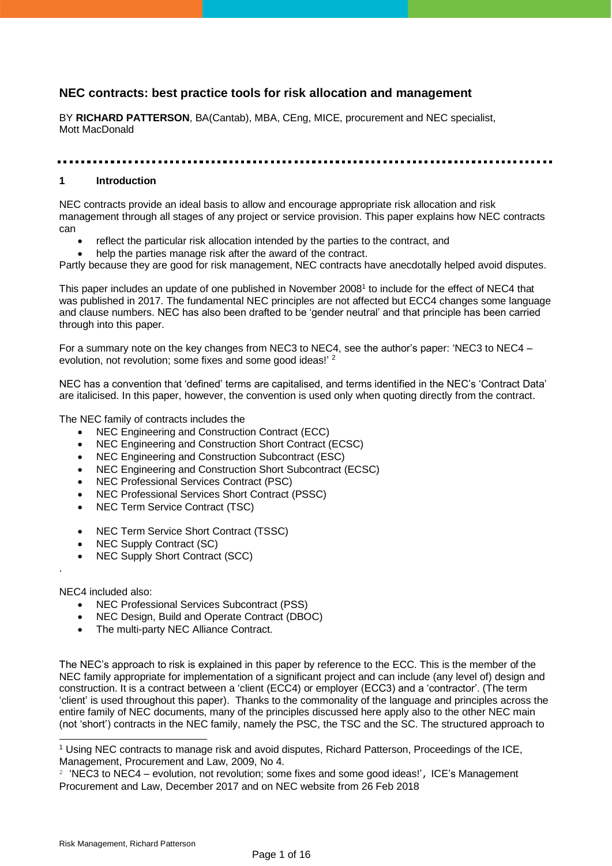# **NEC contracts: best practice tools for risk allocation and management**

BY **RICHARD PATTERSON**, BA(Cantab), MBA, CEng, MICE, procurement and NEC specialist, Mott MacDonald

#### 

#### **1 Introduction**

NEC contracts provide an ideal basis to allow and encourage appropriate risk allocation and risk management through all stages of any project or service provision. This paper explains how NEC contracts can

- reflect the particular risk allocation intended by the parties to the contract, and
- help the parties manage risk after the award of the contract.

Partly because they are good for risk management, NEC contracts have anecdotally helped avoid disputes.

This paper includes an update of one published in November 2008<sup>1</sup> to include for the effect of NEC4 that was published in 2017. The fundamental NEC principles are not affected but ECC4 changes some language and clause numbers. NEC has also been drafted to be 'gender neutral' and that principle has been carried through into this paper.

For a summary note on the key changes from NEC3 to NEC4, see the author's paper: 'NEC3 to NEC4 – evolution, not revolution; some fixes and some good ideas!' <sup>2</sup>

NEC has a convention that 'defined' terms are capitalised, and terms identified in the NEC's 'Contract Data' are italicised. In this paper, however, the convention is used only when quoting directly from the contract.

The NEC family of contracts includes the

- NEC Engineering and Construction Contract (ECC)
- NEC Engineering and Construction Short Contract (ECSC)
- NEC Engineering and Construction Subcontract (ESC)
- NEC Engineering and Construction Short Subcontract (ECSC)
- NEC Professional Services Contract (PSC)
- NEC Professional Services Short Contract (PSSC)
- NEC Term Service Contract (TSC)
- NEC Term Service Short Contract (TSSC)
- NEC Supply Contract (SC)
- NEC Supply Short Contract (SCC)

NEC4 included also:

.

- NEC Professional Services Subcontract (PSS)
- NEC Design, Build and Operate Contract (DBOC)
- The multi-party NEC Alliance Contract.

The NEC's approach to risk is explained in this paper by reference to the ECC. This is the member of the NEC family appropriate for implementation of a significant project and can include (any level of) design and construction. It is a contract between a 'client (ECC4) or employer (ECC3) and a 'contractor'. (The term 'client' is used throughout this paper). Thanks to the commonality of the language and principles across the entire family of NEC documents, many of the principles discussed here apply also to the other NEC main (not 'short') contracts in the NEC family, namely the PSC, the TSC and the SC. The structured approach to

<sup>1</sup> Using NEC contracts to manage risk and avoid disputes, Richard Patterson, Proceedings of the ICE, Management, Procurement and Law, 2009, No 4.

 $2$  'NEC3 to NEC4 – evolution, not revolution; some fixes and some good ideas!', ICE's Management Procurement and Law, December 2017 and on NEC website from 26 Feb 2018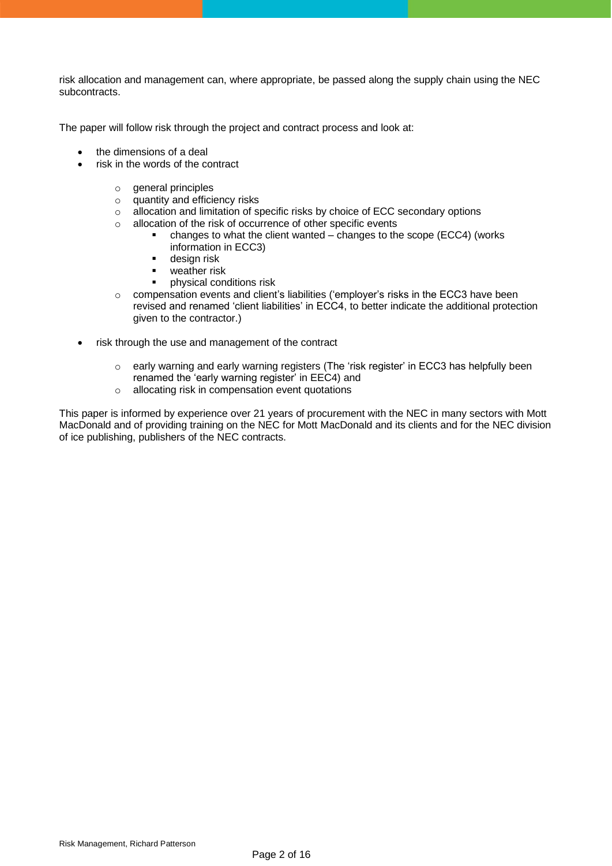risk allocation and management can, where appropriate, be passed along the supply chain using the NEC subcontracts.

The paper will follow risk through the project and contract process and look at:

- the dimensions of a deal
- risk in the words of the contract
	- $\circ$  general principles
	- o quantity and efficiency risks
	- o allocation and limitation of specific risks by choice of ECC secondary options
	- o allocation of the risk of occurrence of other specific events
		- changes to what the client wanted changes to the scope (ECC4) (works information in ECC3)
		- **■** design risk
		- weather risk
		- physical conditions risk
	- $\circ$  compensation events and client's liabilities ('employer's risks in the ECC3 have been revised and renamed 'client liabilities' in ECC4, to better indicate the additional protection given to the contractor.)
- risk through the use and management of the contract
	- o early warning and early warning registers (The 'risk register' in ECC3 has helpfully been renamed the 'early warning register' in EEC4) and
	- o allocating risk in compensation event quotations

This paper is informed by experience over 21 years of procurement with the NEC in many sectors with Mott MacDonald and of providing training on the NEC for Mott MacDonald and its clients and for the NEC division of ice publishing, publishers of the NEC contracts.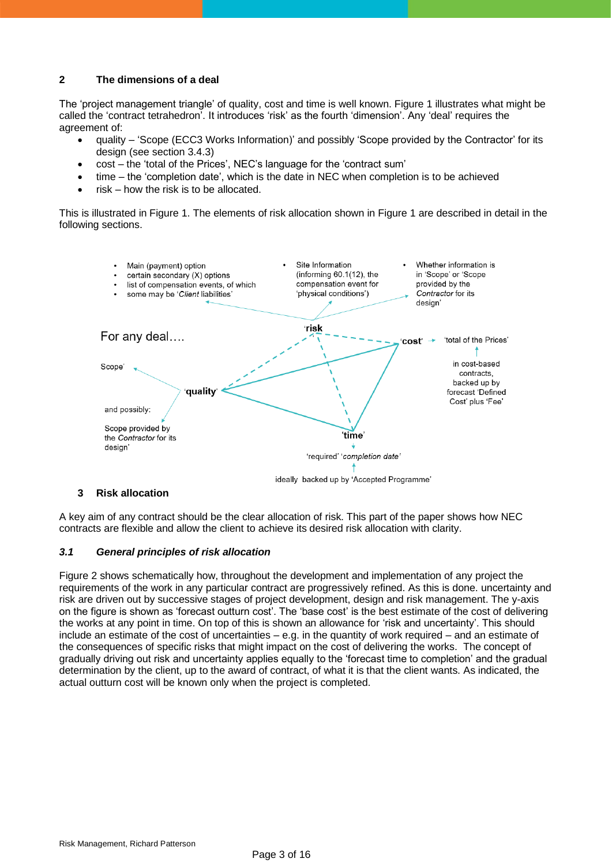## **2 The dimensions of a deal**

The 'project management triangle' of quality, cost and time is well known. Figure 1 illustrates what might be called the 'contract tetrahedron'. It introduces 'risk' as the fourth 'dimension'. Any 'deal' requires the agreement of:

- quality 'Scope (ECC3 Works Information)' and possibly 'Scope provided by the Contractor' for its design (see section 3.4.3)
- cost the 'total of the Prices', NEC's language for the 'contract sum'
- time the 'completion date', which is the date in NEC when completion is to be achieved
- $risk how$  the risk is to be allocated.

This is illustrated in Figure 1. The elements of risk allocation shown in Figure 1 are described in detail in the following sections.



#### **3 Risk allocation**

A key aim of any contract should be the clear allocation of risk. This part of the paper shows how NEC contracts are flexible and allow the client to achieve its desired risk allocation with clarity.

#### *3.1 General principles of risk allocation*

Figure 2 shows schematically how, throughout the development and implementation of any project the requirements of the work in any particular contract are progressively refined. As this is done. uncertainty and risk are driven out by successive stages of project development, design and risk management. The y-axis on the figure is shown as 'forecast outturn cost'. The 'base cost' is the best estimate of the cost of delivering the works at any point in time. On top of this is shown an allowance for 'risk and uncertainty'. This should include an estimate of the cost of uncertainties – e.g. in the quantity of work required – and an estimate of the consequences of specific risks that might impact on the cost of delivering the works. The concept of gradually driving out risk and uncertainty applies equally to the 'forecast time to completion' and the gradual determination by the client, up to the award of contract, of what it is that the client wants. As indicated, the actual outturn cost will be known only when the project is completed.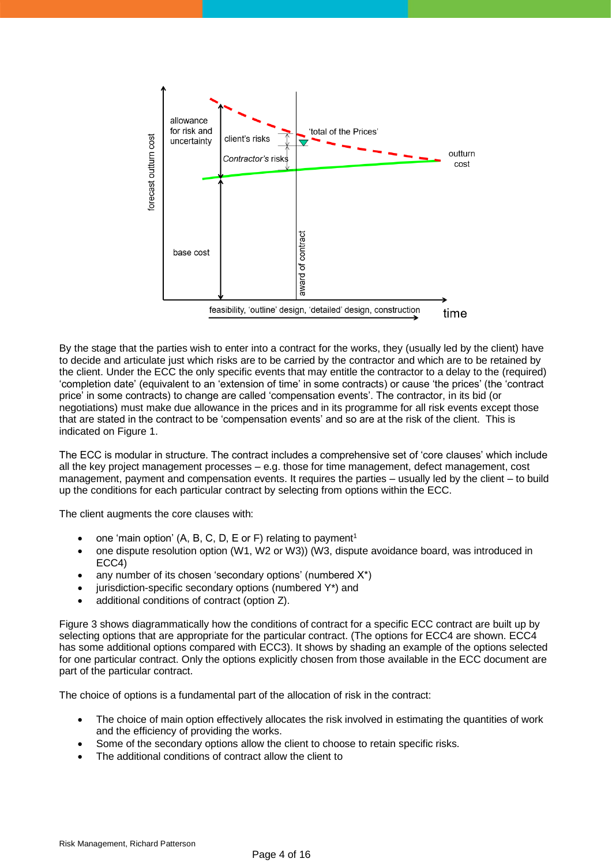

By the stage that the parties wish to enter into a contract for the works, they (usually led by the client) have to decide and articulate just which risks are to be carried by the contractor and which are to be retained by the client. Under the ECC the only specific events that may entitle the contractor to a delay to the (required) 'completion date' (equivalent to an 'extension of time' in some contracts) or cause 'the prices' (the 'contract price' in some contracts) to change are called 'compensation events'. The contractor, in its bid (or negotiations) must make due allowance in the prices and in its programme for all risk events except those that are stated in the contract to be 'compensation events' and so are at the risk of the client. This is indicated on Figure 1.

The ECC is modular in structure. The contract includes a comprehensive set of 'core clauses' which include all the key project management processes – e.g. those for time management, defect management, cost management, payment and compensation events. It requires the parties – usually led by the client – to build up the conditions for each particular contract by selecting from options within the ECC.

The client augments the core clauses with:

- one 'main option' (A, B, C, D, E or F) relating to payment<sup>1</sup>
- one dispute resolution option (W1, W2 or W3)) (W3, dispute avoidance board, was introduced in ECC4)
- any number of its chosen 'secondary options' (numbered  $X^*$ )
- jurisdiction-specific secondary options (numbered Y\*) and
- additional conditions of contract (option Z).

Figure 3 shows diagrammatically how the conditions of contract for a specific ECC contract are built up by selecting options that are appropriate for the particular contract. (The options for ECC4 are shown. ECC4 has some additional options compared with ECC3). It shows by shading an example of the options selected for one particular contract. Only the options explicitly chosen from those available in the ECC document are part of the particular contract.

The choice of options is a fundamental part of the allocation of risk in the contract:

- The choice of main option effectively allocates the risk involved in estimating the quantities of work and the efficiency of providing the works.
- Some of the secondary options allow the client to choose to retain specific risks.
- The additional conditions of contract allow the client to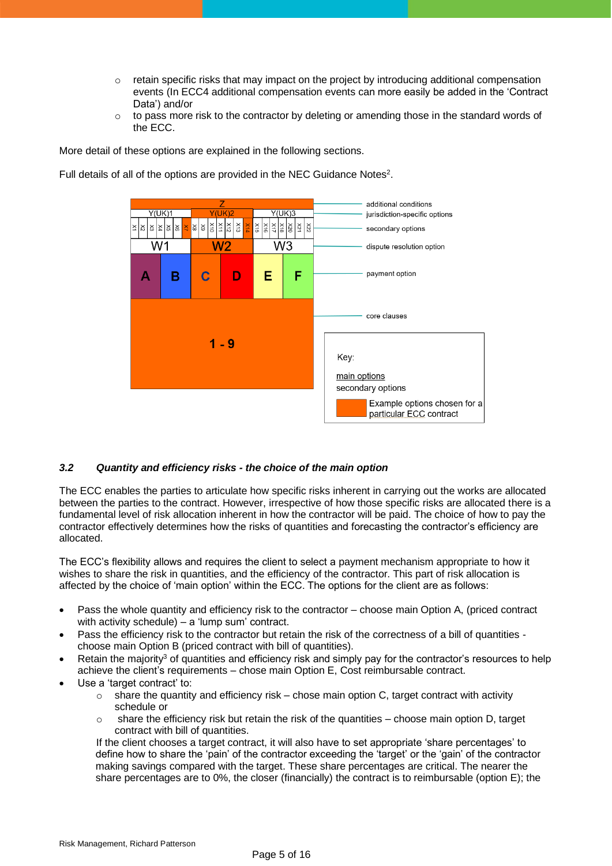- $\circ$  retain specific risks that may impact on the project by introducing additional compensation events (In ECC4 additional compensation events can more easily be added in the 'Contract Data') and/or
- $\circ$  to pass more risk to the contractor by deleting or amending those in the standard words of the ECC.

More detail of these options are explained in the following sections.

Full details of all of the options are provided in the NEC Guidance Notes<sup>2</sup>.



# *3.2 Quantity and efficiency risks - the choice of the main option*

The ECC enables the parties to articulate how specific risks inherent in carrying out the works are allocated between the parties to the contract. However, irrespective of how those specific risks are allocated there is a fundamental level of risk allocation inherent in how the contractor will be paid. The choice of how to pay the contractor effectively determines how the risks of quantities and forecasting the contractor's efficiency are allocated.

The ECC's flexibility allows and requires the client to select a payment mechanism appropriate to how it wishes to share the risk in quantities, and the efficiency of the contractor. This part of risk allocation is affected by the choice of 'main option' within the ECC. The options for the client are as follows:

- Pass the whole quantity and efficiency risk to the contractor choose main Option A, (priced contract with activity schedule) – a 'lump sum' contract.
- Pass the efficiency risk to the contractor but retain the risk of the correctness of a bill of quantities choose main Option B (priced contract with bill of quantities).
- Retain the majority<sup>3</sup> of quantities and efficiency risk and simply pay for the contractor's resources to help achieve the client's requirements – chose main Option E, Cost reimbursable contract.
- Use a 'target contract' to:
	- $\circ$  share the quantity and efficiency risk chose main option C, target contract with activity schedule or
	- $\circ$  share the efficiency risk but retain the risk of the quantities choose main option D, target contract with bill of quantities.

If the client chooses a target contract, it will also have to set appropriate 'share percentages' to define how to share the 'pain' of the contractor exceeding the 'target' or the 'gain' of the contractor making savings compared with the target. These share percentages are critical. The nearer the share percentages are to 0%, the closer (financially) the contract is to reimbursable (option E); the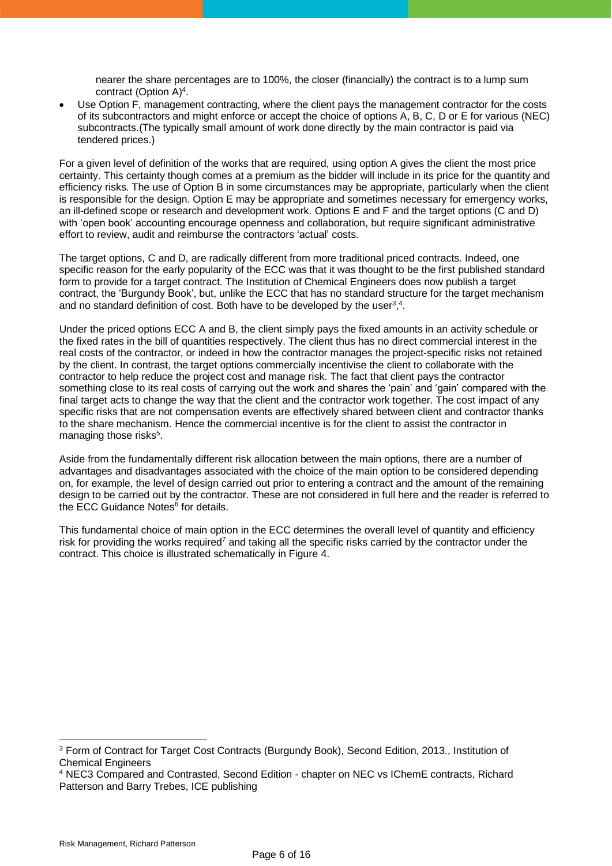nearer the share percentages are to 100%, the closer (financially) the contract is to a lump sum contract (Option  $A$ )<sup>4</sup>.

Use Option F, management contracting, where the client pays the management contractor for the costs of its subcontractors and might enforce or accept the choice of options A, B, C, D or E for various (NEC) subcontracts.(The typically small amount of work done directly by the main contractor is paid via tendered prices.)

For a given level of definition of the works that are required, using option A gives the client the most price certainty. This certainty though comes at a premium as the bidder will include in its price for the quantity and efficiency risks. The use of Option B in some circumstances may be appropriate, particularly when the client is responsible for the design. Option E may be appropriate and sometimes necessary for emergency works, an ill-defined scope or research and development work. Options E and F and the target options (C and D) with 'open book' accounting encourage openness and collaboration, but require significant administrative effort to review, audit and reimburse the contractors 'actual' costs.

The target options, C and D, are radically different from more traditional priced contracts. Indeed, one specific reason for the early popularity of the ECC was that it was thought to be the first published standard form to provide for a target contract. The Institution of Chemical Engineers does now publish a target contract, the 'Burgundy Book', but, unlike the ECC that has no standard structure for the target mechanism and no standard definition of cost. Both have to be developed by the user<sup>3</sup>,<sup>4</sup>.

Under the priced options ECC A and B, the client simply pays the fixed amounts in an activity schedule or the fixed rates in the bill of quantities respectively. The client thus has no direct commercial interest in the real costs of the contractor, or indeed in how the contractor manages the project-specific risks not retained by the client. In contrast, the target options commercially incentivise the client to collaborate with the contractor to help reduce the project cost and manage risk. The fact that client pays the contractor something close to its real costs of carrying out the work and shares the 'pain' and 'gain' compared with the final target acts to change the way that the client and the contractor work together. The cost impact of any specific risks that are not compensation events are effectively shared between client and contractor thanks to the share mechanism. Hence the commercial incentive is for the client to assist the contractor in managing those risks<sup>5</sup>.

Aside from the fundamentally different risk allocation between the main options, there are a number of advantages and disadvantages associated with the choice of the main option to be considered depending on, for example, the level of design carried out prior to entering a contract and the amount of the remaining design to be carried out by the contractor. These are not considered in full here and the reader is referred to the ECC Guidance Notes<sup>6</sup> for details.

This fundamental choice of main option in the ECC determines the overall level of quantity and efficiency risk for providing the works required<sup>7</sup> and taking all the specific risks carried by the contractor under the contract. This choice is illustrated schematically in Figure 4.

<sup>&</sup>lt;sup>3</sup> Form of Contract for Target Cost Contracts (Burgundy Book), Second Edition, 2013., Institution of Chemical Engineers

<sup>4</sup> NEC3 Compared and Contrasted, Second Edition - chapter on NEC vs IChemE contracts, Richard Patterson and Barry Trebes, ICE publishing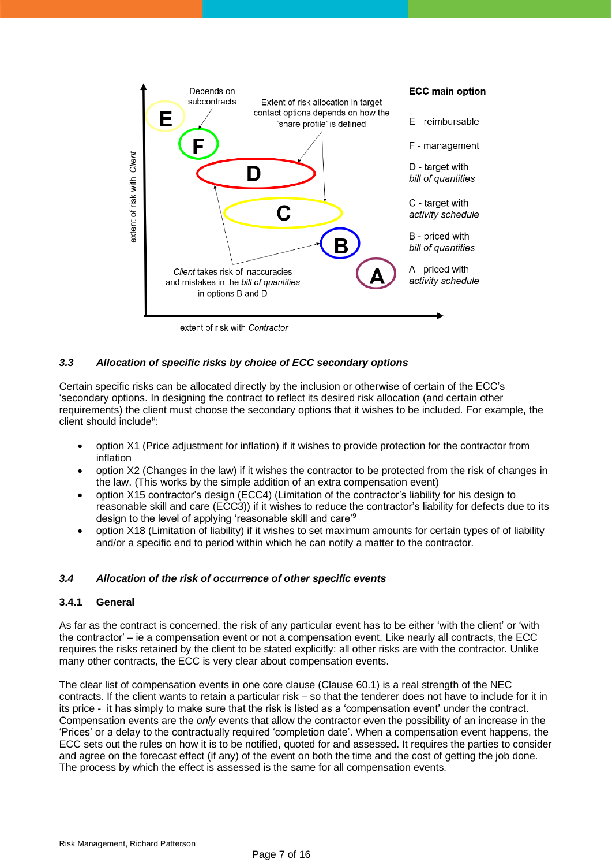

extent of risk with Contractor

# *3.3 Allocation of specific risks by choice of ECC secondary options*

Certain specific risks can be allocated directly by the inclusion or otherwise of certain of the ECC's 'secondary options. In designing the contract to reflect its desired risk allocation (and certain other requirements) the client must choose the secondary options that it wishes to be included. For example, the client should include<sup>8</sup>:

- option X1 (Price adjustment for inflation) if it wishes to provide protection for the contractor from inflation
- option X2 (Changes in the law) if it wishes the contractor to be protected from the risk of changes in the law. (This works by the simple addition of an extra compensation event)
- option X15 contractor's design (ECC4) (Limitation of the contractor's liability for his design to reasonable skill and care (ECC3)) if it wishes to reduce the contractor's liability for defects due to its design to the level of applying 'reasonable skill and care'<sup>9</sup>
- option X18 (Limitation of liability) if it wishes to set maximum amounts for certain types of of liability and/or a specific end to period within which he can notify a matter to the contractor.

# *3.4 Allocation of the risk of occurrence of other specific events*

# **3.4.1 General**

As far as the contract is concerned, the risk of any particular event has to be either 'with the client' or 'with the contractor' – ie a compensation event or not a compensation event. Like nearly all contracts, the ECC requires the risks retained by the client to be stated explicitly: all other risks are with the contractor. Unlike many other contracts, the ECC is very clear about compensation events.

The clear list of compensation events in one core clause (Clause 60.1) is a real strength of the NEC contracts. If the client wants to retain a particular risk – so that the tenderer does not have to include for it in its price - it has simply to make sure that the risk is listed as a 'compensation event' under the contract. Compensation events are the *only* events that allow the contractor even the possibility of an increase in the 'Prices' or a delay to the contractually required 'completion date'. When a compensation event happens, the ECC sets out the rules on how it is to be notified, quoted for and assessed. It requires the parties to consider and agree on the forecast effect (if any) of the event on both the time and the cost of getting the job done. The process by which the effect is assessed is the same for all compensation events.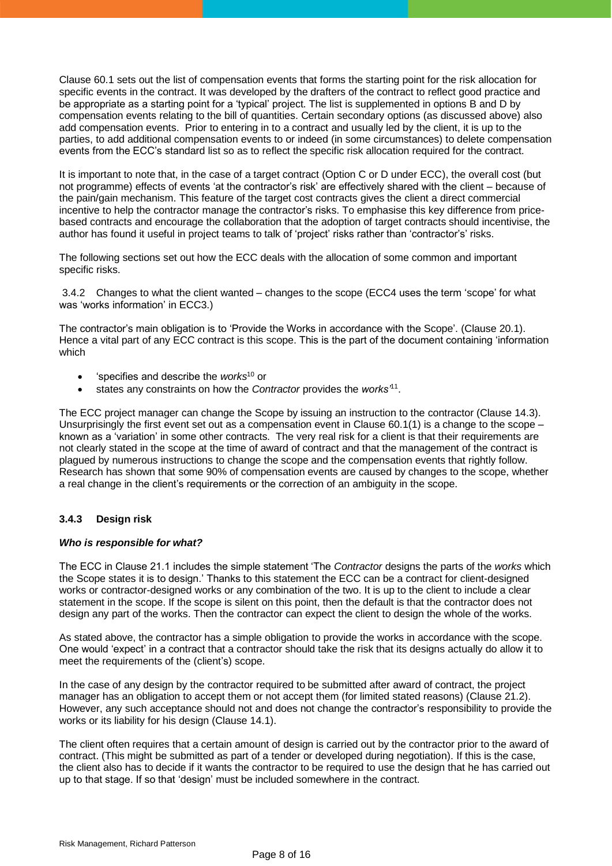Clause 60.1 sets out the list of compensation events that forms the starting point for the risk allocation for specific events in the contract. It was developed by the drafters of the contract to reflect good practice and be appropriate as a starting point for a 'typical' project. The list is supplemented in options B and D by compensation events relating to the bill of quantities. Certain secondary options (as discussed above) also add compensation events. Prior to entering in to a contract and usually led by the client, it is up to the parties, to add additional compensation events to or indeed (in some circumstances) to delete compensation events from the ECC's standard list so as to reflect the specific risk allocation required for the contract.

It is important to note that, in the case of a target contract (Option C or D under ECC), the overall cost (but not programme) effects of events 'at the contractor's risk' are effectively shared with the client – because of the pain/gain mechanism. This feature of the target cost contracts gives the client a direct commercial incentive to help the contractor manage the contractor's risks. To emphasise this key difference from pricebased contracts and encourage the collaboration that the adoption of target contracts should incentivise, the author has found it useful in project teams to talk of 'project' risks rather than 'contractor's' risks.

The following sections set out how the ECC deals with the allocation of some common and important specific risks.

3.4.2 Changes to what the client wanted – changes to the scope (ECC4 uses the term 'scope' for what was 'works information' in ECC3.)

The contractor's main obligation is to 'Provide the Works in accordance with the Scope'. (Clause 20.1). Hence a vital part of any ECC contract is this scope. This is the part of the document containing 'information which

- 'specifies and describe the *works*<sup>10</sup> or
- states any constraints on how the *Contractor* provides the *works'*<sup>11</sup> .

The ECC project manager can change the Scope by issuing an instruction to the contractor (Clause 14.3). Unsurprisingly the first event set out as a compensation event in Clause  $60.1(1)$  is a change to the scope – known as a 'variation' in some other contracts. The very real risk for a client is that their requirements are not clearly stated in the scope at the time of award of contract and that the management of the contract is plagued by numerous instructions to change the scope and the compensation events that rightly follow. Research has shown that some 90% of compensation events are caused by changes to the scope, whether a real change in the client's requirements or the correction of an ambiguity in the scope.

# **3.4.3 Design risk**

#### *Who is responsible for what?*

The ECC in Clause 21.1 includes the simple statement 'The *Contractor* designs the parts of the *works* which the Scope states it is to design.' Thanks to this statement the ECC can be a contract for client-designed works or contractor-designed works or any combination of the two. It is up to the client to include a clear statement in the scope. If the scope is silent on this point, then the default is that the contractor does not design any part of the works. Then the contractor can expect the client to design the whole of the works.

As stated above, the contractor has a simple obligation to provide the works in accordance with the scope. One would 'expect' in a contract that a contractor should take the risk that its designs actually do allow it to meet the requirements of the (client's) scope.

In the case of any design by the contractor required to be submitted after award of contract, the project manager has an obligation to accept them or not accept them (for limited stated reasons) (Clause 21.2). However, any such acceptance should not and does not change the contractor's responsibility to provide the works or its liability for his design (Clause 14.1).

The client often requires that a certain amount of design is carried out by the contractor prior to the award of contract. (This might be submitted as part of a tender or developed during negotiation). If this is the case, the client also has to decide if it wants the contractor to be required to use the design that he has carried out up to that stage. If so that 'design' must be included somewhere in the contract.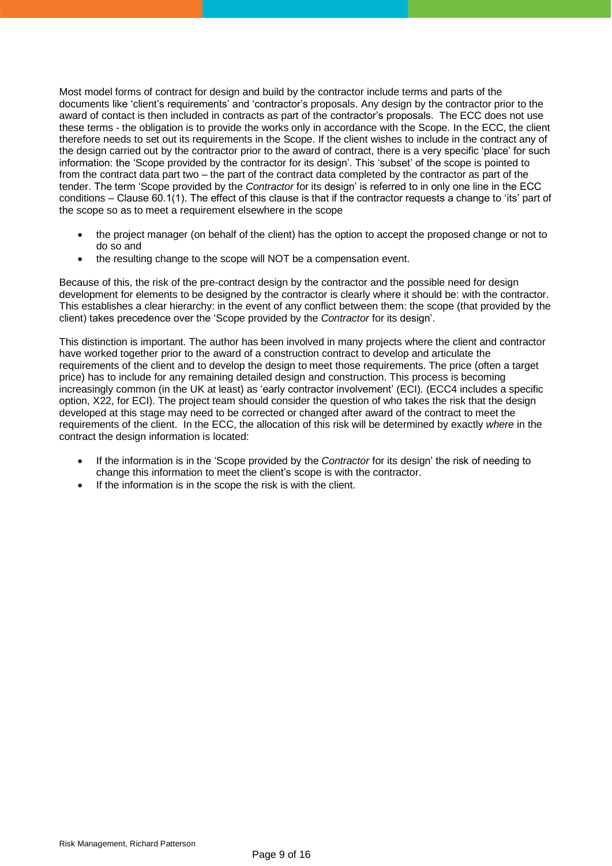Most model forms of contract for design and build by the contractor include terms and parts of the documents like 'client's requirements' and 'contractor's proposals. Any design by the contractor prior to the award of contact is then included in contracts as part of the contractor's proposals. The ECC does not use these terms - the obligation is to provide the works only in accordance with the Scope. In the ECC, the client therefore needs to set out its requirements in the Scope. If the client wishes to include in the contract any of the design carried out by the contractor prior to the award of contract, there is a very specific 'place' for such information: the 'Scope provided by the contractor for its design'. This 'subset' of the scope is pointed to from the contract data part two – the part of the contract data completed by the contractor as part of the tender. The term 'Scope provided by the *Contractor* for its design' is referred to in only one line in the ECC conditions – Clause 60.1(1). The effect of this clause is that if the contractor requests a change to 'its' part of the scope so as to meet a requirement elsewhere in the scope

- the project manager (on behalf of the client) has the option to accept the proposed change or not to do so and
- the resulting change to the scope will NOT be a compensation event.

Because of this, the risk of the pre-contract design by the contractor and the possible need for design development for elements to be designed by the contractor is clearly where it should be: with the contractor. This establishes a clear hierarchy: in the event of any conflict between them: the scope (that provided by the client) takes precedence over the 'Scope provided by the *Contractor* for its design'.

This distinction is important. The author has been involved in many projects where the client and contractor have worked together prior to the award of a construction contract to develop and articulate the requirements of the client and to develop the design to meet those requirements. The price (often a target price) has to include for any remaining detailed design and construction. This process is becoming increasingly common (in the UK at least) as 'early contractor involvement' (ECI). (ECC4 includes a specific option, X22, for ECI). The project team should consider the question of who takes the risk that the design developed at this stage may need to be corrected or changed after award of the contract to meet the requirements of the client. In the ECC, the allocation of this risk will be determined by exactly *where* in the contract the design information is located:

- If the information is in the 'Scope provided by the *Contractor* for its design' the risk of needing to change this information to meet the client's scope is with the contractor.
- If the information is in the scope the risk is with the client.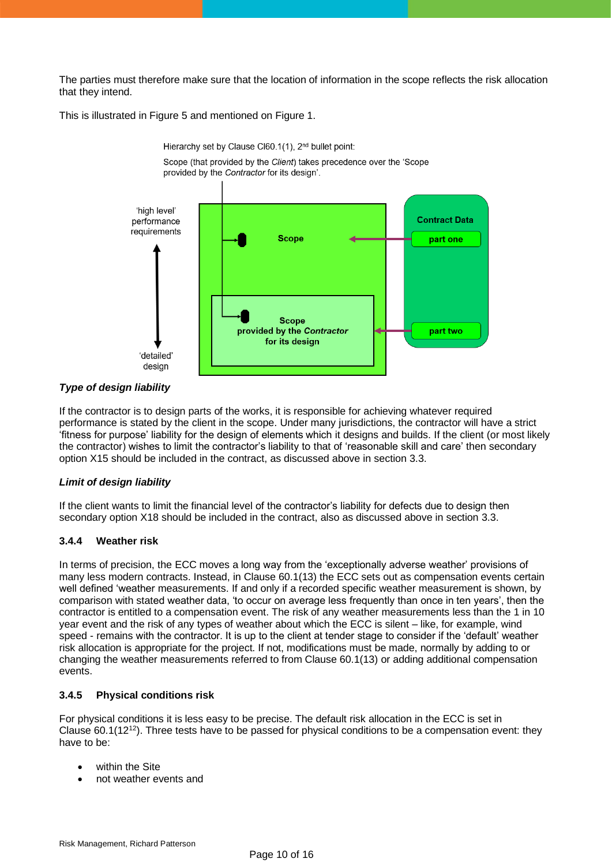The parties must therefore make sure that the location of information in the scope reflects the risk allocation that they intend.

This is illustrated in Figure 5 and mentioned on Figure 1.



# *Type of design liability*

If the contractor is to design parts of the works, it is responsible for achieving whatever required performance is stated by the client in the scope. Under many jurisdictions, the contractor will have a strict 'fitness for purpose' liability for the design of elements which it designs and builds. If the client (or most likely the contractor) wishes to limit the contractor's liability to that of 'reasonable skill and care' then secondary option X15 should be included in the contract, as discussed above in section 3.3.

# *Limit of design liability*

If the client wants to limit the financial level of the contractor's liability for defects due to design then secondary option X18 should be included in the contract, also as discussed above in section 3.3.

# **3.4.4 Weather risk**

In terms of precision, the ECC moves a long way from the 'exceptionally adverse weather' provisions of many less modern contracts. Instead, in Clause 60.1(13) the ECC sets out as compensation events certain well defined 'weather measurements. If and only if a recorded specific weather measurement is shown, by comparison with stated weather data, 'to occur on average less frequently than once in ten years', then the contractor is entitled to a compensation event. The risk of any weather measurements less than the 1 in 10 year event and the risk of any types of weather about which the ECC is silent – like, for example, wind speed - remains with the contractor. It is up to the client at tender stage to consider if the 'default' weather risk allocation is appropriate for the project. If not, modifications must be made, normally by adding to or changing the weather measurements referred to from Clause 60.1(13) or adding additional compensation events.

# **3.4.5 Physical conditions risk**

For physical conditions it is less easy to be precise. The default risk allocation in the ECC is set in Clause  $60.1(12<sup>12</sup>)$ . Three tests have to be passed for physical conditions to be a compensation event: they have to be:

- within the Site
- not weather events and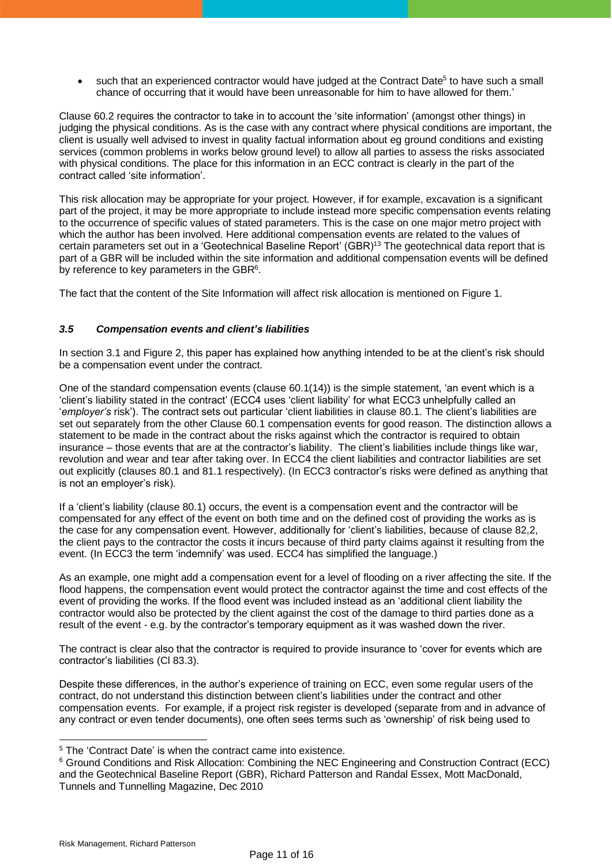• such that an experienced contractor would have judged at the Contract Date<sup>5</sup> to have such a small chance of occurring that it would have been unreasonable for him to have allowed for them.'

Clause 60.2 requires the contractor to take in to account the 'site information' (amongst other things) in judging the physical conditions. As is the case with any contract where physical conditions are important, the client is usually well advised to invest in quality factual information about eg ground conditions and existing services (common problems in works below ground level) to allow all parties to assess the risks associated with physical conditions. The place for this information in an ECC contract is clearly in the part of the contract called 'site information'.

This risk allocation may be appropriate for your project. However, if for example, excavation is a significant part of the project, it may be more appropriate to include instead more specific compensation events relating to the occurrence of specific values of stated parameters. This is the case on one major metro project with which the author has been involved. Here additional compensation events are related to the values of certain parameters set out in a 'Geotechnical Baseline Report' (GBR)<sup>13</sup> The geotechnical data report that is part of a GBR will be included within the site information and additional compensation events will be defined by reference to key parameters in the GBR<sup>6</sup>.

The fact that the content of the Site Information will affect risk allocation is mentioned on Figure 1.

#### *3.5 Compensation events and client's liabilities*

In section 3.1 and Figure 2, this paper has explained how anything intended to be at the client's risk should be a compensation event under the contract.

One of the standard compensation events (clause 60.1(14)) is the simple statement, 'an event which is a 'client's liability stated in the contract' (ECC4 uses 'client liability' for what ECC3 unhelpfully called an '*employer's* risk'). The contract sets out particular 'client liabilities in clause 80.1. The client's liabilities are set out separately from the other Clause 60.1 compensation events for good reason. The distinction allows a statement to be made in the contract about the risks against which the contractor is required to obtain insurance – those events that are at the contractor's liability. The client's liabilities include things like war, revolution and wear and tear after taking over. In ECC4 the client liabilities and contractor liabilities are set out explicitly (clauses 80.1 and 81.1 respectively). (In ECC3 contractor's risks were defined as anything that is not an employer's risk).

If a 'client's liability (clause 80.1) occurs, the event is a compensation event and the contractor will be compensated for any effect of the event on both time and on the defined cost of providing the works as is the case for any compensation event. However, additionally for 'client's liabilities, because of clause 82,2, the client pays to the contractor the costs it incurs because of third party claims against it resulting from the event. (In ECC3 the term 'indemnify' was used. ECC4 has simplified the language.)

As an example, one might add a compensation event for a level of flooding on a river affecting the site. If the flood happens, the compensation event would protect the contractor against the time and cost effects of the event of providing the works. If the flood event was included instead as an 'additional client liability the contractor would also be protected by the client against the cost of the damage to third parties done as a result of the event - e.g. by the contractor's temporary equipment as it was washed down the river.

The contract is clear also that the contractor is required to provide insurance to 'cover for events which are contractor's liabilities (Cl 83.3).

Despite these differences, in the author's experience of training on ECC, even some regular users of the contract, do not understand this distinction between client's liabilities under the contract and other compensation events. For example, if a project risk register is developed (separate from and in advance of any contract or even tender documents), one often sees terms such as 'ownership' of risk being used to

<sup>&</sup>lt;sup>5</sup> The 'Contract Date' is when the contract came into existence.

<sup>6</sup> Ground Conditions and Risk Allocation: Combining the NEC Engineering and Construction Contract (ECC) and the Geotechnical Baseline Report (GBR), Richard Patterson and Randal Essex, Mott MacDonald, Tunnels and Tunnelling Magazine, Dec 2010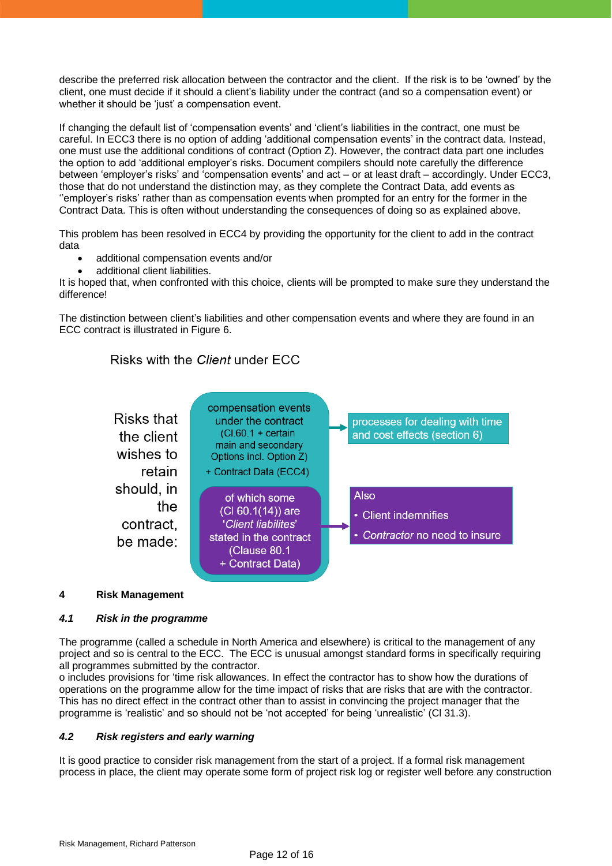describe the preferred risk allocation between the contractor and the client. If the risk is to be 'owned' by the client, one must decide if it should a client's liability under the contract (and so a compensation event) or whether it should be 'iust' a compensation event.

If changing the default list of 'compensation events' and 'client's liabilities in the contract, one must be careful. In ECC3 there is no option of adding 'additional compensation events' in the contract data. Instead, one must use the additional conditions of contract (Option Z). However, the contract data part one includes the option to add 'additional employer's risks. Document compilers should note carefully the difference between 'employer's risks' and 'compensation events' and act – or at least draft – accordingly. Under ECC3, those that do not understand the distinction may, as they complete the Contract Data, add events as ''employer's risks' rather than as compensation events when prompted for an entry for the former in the Contract Data. This is often without understanding the consequences of doing so as explained above.

This problem has been resolved in ECC4 by providing the opportunity for the client to add in the contract data

- additional compensation events and/or
- additional client liabilities.

It is hoped that, when confronted with this choice, clients will be prompted to make sure they understand the difference!

The distinction between client's liabilities and other compensation events and where they are found in an ECC contract is illustrated in Figure 6.

# Risks with the Client under ECC



# **4 Risk Management**

# *4.1 Risk in the programme*

The programme (called a schedule in North America and elsewhere) is critical to the management of any project and so is central to the ECC. The ECC is unusual amongst standard forms in specifically requiring all programmes submitted by the contractor.

o includes provisions for 'time risk allowances. In effect the contractor has to show how the durations of operations on the programme allow for the time impact of risks that are risks that are with the contractor. This has no direct effect in the contract other than to assist in convincing the project manager that the programme is 'realistic' and so should not be 'not accepted' for being 'unrealistic' (Cl 31.3).

# *4.2 Risk registers and early warning*

It is good practice to consider risk management from the start of a project. If a formal risk management process in place, the client may operate some form of project risk log or register well before any construction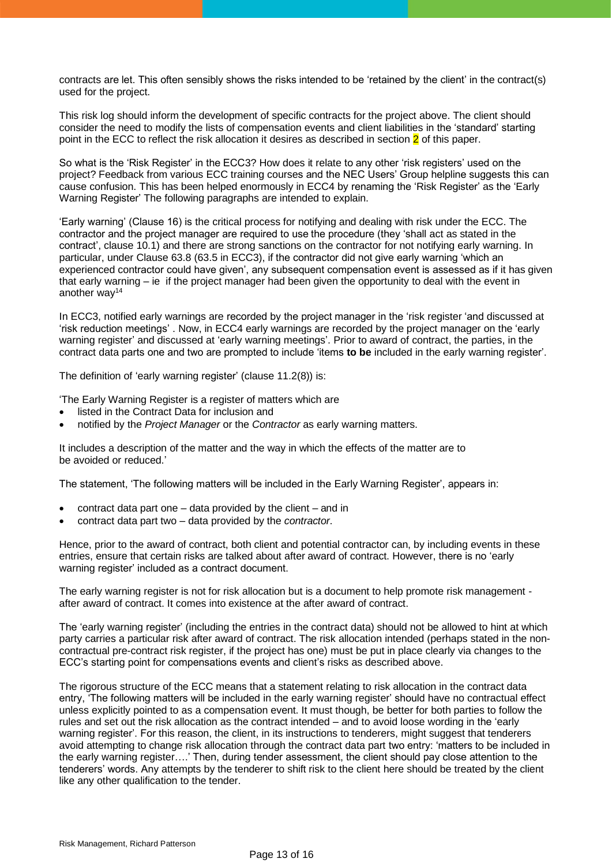contracts are let. This often sensibly shows the risks intended to be 'retained by the client' in the contract(s) used for the project.

This risk log should inform the development of specific contracts for the project above. The client should consider the need to modify the lists of compensation events and client liabilities in the 'standard' starting point in the ECC to reflect the risk allocation it desires as described in section  $2$  of this paper.

So what is the 'Risk Register' in the ECC3? How does it relate to any other 'risk registers' used on the project? Feedback from various ECC training courses and the NEC Users' Group helpline suggests this can cause confusion. This has been helped enormously in ECC4 by renaming the 'Risk Register' as the 'Early Warning Register' The following paragraphs are intended to explain.

'Early warning' (Clause 16) is the critical process for notifying and dealing with risk under the ECC. The contractor and the project manager are required to use the procedure (they 'shall act as stated in the contract', clause 10.1) and there are strong sanctions on the contractor for not notifying early warning. In particular, under Clause 63.8 (63.5 in ECC3), if the contractor did not give early warning 'which an experienced contractor could have given', any subsequent compensation event is assessed as if it has given that early warning – ie if the project manager had been given the opportunity to deal with the event in another way<sup>14</sup>

In ECC3, notified early warnings are recorded by the project manager in the 'risk register 'and discussed at 'risk reduction meetings' . Now, in ECC4 early warnings are recorded by the project manager on the 'early warning register' and discussed at 'early warning meetings'. Prior to award of contract, the parties, in the contract data parts one and two are prompted to include 'items **to be** included in the early warning register'.

The definition of 'early warning register' (clause 11.2(8)) is:

'The Early Warning Register is a register of matters which are

- listed in the Contract Data for inclusion and
- notified by the *Project Manager* or the *Contractor* as early warning matters.

It includes a description of the matter and the way in which the effects of the matter are to be avoided or reduced.'

The statement, 'The following matters will be included in the Early Warning Register', appears in:

- contract data part one data provided by the client and in
- contract data part two data provided by the *contractor*.

Hence, prior to the award of contract, both client and potential contractor can, by including events in these entries, ensure that certain risks are talked about after award of contract. However, there is no 'early warning register' included as a contract document.

The early warning register is not for risk allocation but is a document to help promote risk management after award of contract. It comes into existence at the after award of contract.

The 'early warning register' (including the entries in the contract data) should not be allowed to hint at which party carries a particular risk after award of contract. The risk allocation intended (perhaps stated in the noncontractual pre-contract risk register, if the project has one) must be put in place clearly via changes to the ECC's starting point for compensations events and client's risks as described above.

The rigorous structure of the ECC means that a statement relating to risk allocation in the contract data entry, 'The following matters will be included in the early warning register' should have no contractual effect unless explicitly pointed to as a compensation event. It must though, be better for both parties to follow the rules and set out the risk allocation as the contract intended – and to avoid loose wording in the 'early warning register'. For this reason, the client, in its instructions to tenderers, might suggest that tenderers avoid attempting to change risk allocation through the contract data part two entry: 'matters to be included in the early warning register….' Then, during tender assessment, the client should pay close attention to the tenderers' words. Any attempts by the tenderer to shift risk to the client here should be treated by the client like any other qualification to the tender.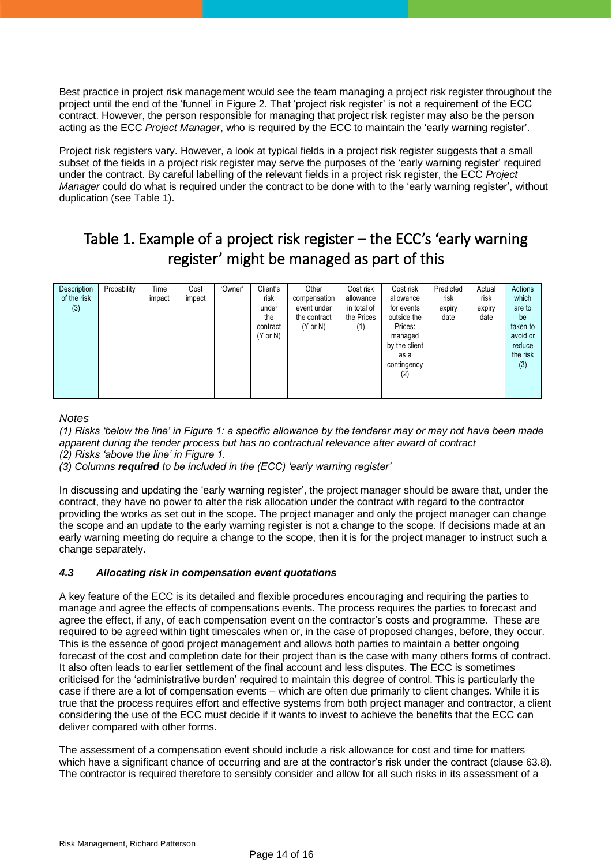Best practice in project risk management would see the team managing a project risk register throughout the project until the end of the 'funnel' in Figure 2. That 'project risk register' is not a requirement of the ECC contract. However, the person responsible for managing that project risk register may also be the person acting as the ECC *Project Manager*, who is required by the ECC to maintain the 'early warning register'.

Project risk registers vary. However, a look at typical fields in a project risk register suggests that a small subset of the fields in a project risk register may serve the purposes of the 'early warning register' required under the contract. By careful labelling of the relevant fields in a project risk register, the ECC *Project Manager* could do what is required under the contract to be done with to the 'early warning register', without duplication (see Table 1).

# Table 1. Example of a project risk register – the ECC's 'early warning register' might be managed as part of this

| Description<br>of the risk<br>(3) | Probability | Time<br>impact | Cost<br>impact | 'Owner' | Client's<br>risk<br>under<br>the<br>contract<br>$(Y \text{ or } N)$ | Other<br>compensation<br>event under<br>the contract<br>$(Y \text{ or } N)$ | Cost risk<br>allowance<br>in total of<br>the Prices<br>(1) | Cost risk<br>allowance<br>for events<br>outside the<br>Prices:<br>managed<br>by the client<br>as a<br>contingency<br>(2) | Predicted<br>risk<br>expiry<br>date | Actual<br>risk<br>expiry<br>date | Actions<br>which<br>are to<br>be<br>taken to<br>avoid or<br>reduce<br>the risk<br>(3) |
|-----------------------------------|-------------|----------------|----------------|---------|---------------------------------------------------------------------|-----------------------------------------------------------------------------|------------------------------------------------------------|--------------------------------------------------------------------------------------------------------------------------|-------------------------------------|----------------------------------|---------------------------------------------------------------------------------------|
|                                   |             |                |                |         |                                                                     |                                                                             |                                                            |                                                                                                                          |                                     |                                  |                                                                                       |
|                                   |             |                |                |         |                                                                     |                                                                             |                                                            |                                                                                                                          |                                     |                                  |                                                                                       |

*Notes*

*(1) Risks 'below the line' in Figure 1: a specific allowance by the tenderer may or may not have been made apparent during the tender process but has no contractual relevance after award of contract (2) Risks 'above the line' in Figure 1.*

*(3) Columns required to be included in the (ECC) 'early warning register'*

In discussing and updating the 'early warning register', the project manager should be aware that, under the contract, they have no power to alter the risk allocation under the contract with regard to the contractor providing the works as set out in the scope. The project manager and only the project manager can change the scope and an update to the early warning register is not a change to the scope. If decisions made at an early warning meeting do require a change to the scope, then it is for the project manager to instruct such a change separately.

# *4.3 Allocating risk in compensation event quotations*

A key feature of the ECC is its detailed and flexible procedures encouraging and requiring the parties to manage and agree the effects of compensations events. The process requires the parties to forecast and agree the effect, if any, of each compensation event on the contractor's costs and programme. These are required to be agreed within tight timescales when or, in the case of proposed changes, before, they occur. This is the essence of good project management and allows both parties to maintain a better ongoing forecast of the cost and completion date for their project than is the case with many others forms of contract. It also often leads to earlier settlement of the final account and less disputes. The ECC is sometimes criticised for the 'administrative burden' required to maintain this degree of control. This is particularly the case if there are a lot of compensation events – which are often due primarily to client changes. While it is true that the process requires effort and effective systems from both project manager and contractor, a client considering the use of the ECC must decide if it wants to invest to achieve the benefits that the ECC can deliver compared with other forms.

The assessment of a compensation event should include a risk allowance for cost and time for matters which have a significant chance of occurring and are at the contractor's risk under the contract (clause 63.8). The contractor is required therefore to sensibly consider and allow for all such risks in its assessment of a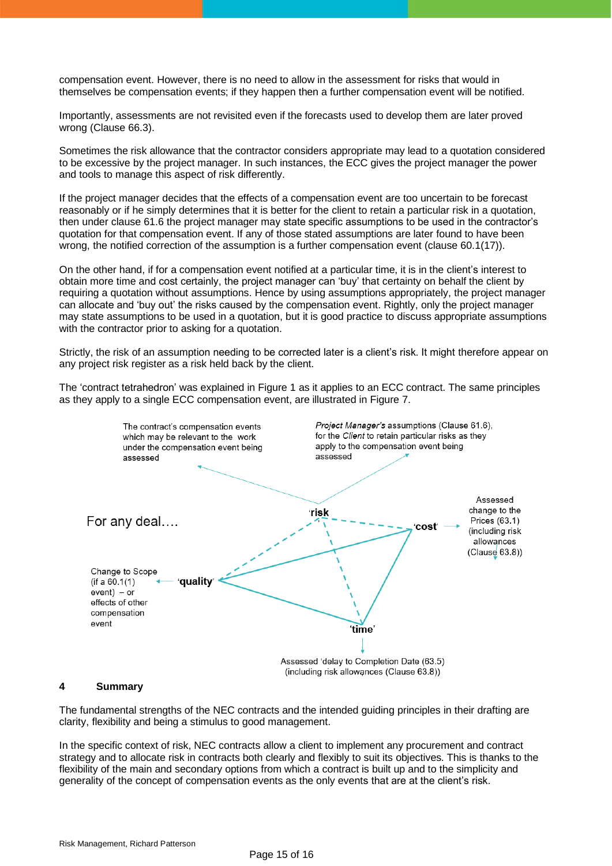compensation event. However, there is no need to allow in the assessment for risks that would in themselves be compensation events; if they happen then a further compensation event will be notified.

Importantly, assessments are not revisited even if the forecasts used to develop them are later proved wrong (Clause 66.3).

Sometimes the risk allowance that the contractor considers appropriate may lead to a quotation considered to be excessive by the project manager. In such instances, the ECC gives the project manager the power and tools to manage this aspect of risk differently.

If the project manager decides that the effects of a compensation event are too uncertain to be forecast reasonably or if he simply determines that it is better for the client to retain a particular risk in a quotation, then under clause 61.6 the project manager may state specific assumptions to be used in the contractor's quotation for that compensation event. If any of those stated assumptions are later found to have been wrong, the notified correction of the assumption is a further compensation event (clause 60.1(17)).

On the other hand, if for a compensation event notified at a particular time, it is in the client's interest to obtain more time and cost certainly, the project manager can 'buy' that certainty on behalf the client by requiring a quotation without assumptions. Hence by using assumptions appropriately, the project manager can allocate and 'buy out' the risks caused by the compensation event. Rightly, only the project manager may state assumptions to be used in a quotation, but it is good practice to discuss appropriate assumptions with the contractor prior to asking for a quotation.

Strictly, the risk of an assumption needing to be corrected later is a client's risk. It might therefore appear on any project risk register as a risk held back by the client.

The 'contract tetrahedron' was explained in Figure 1 as it applies to an ECC contract. The same principles as they apply to a single ECC compensation event, are illustrated in Figure 7.



#### **4 Summary**

The fundamental strengths of the NEC contracts and the intended guiding principles in their drafting are clarity, flexibility and being a stimulus to good management.

In the specific context of risk, NEC contracts allow a client to implement any procurement and contract strategy and to allocate risk in contracts both clearly and flexibly to suit its objectives. This is thanks to the flexibility of the main and secondary options from which a contract is built up and to the simplicity and generality of the concept of compensation events as the only events that are at the client's risk.